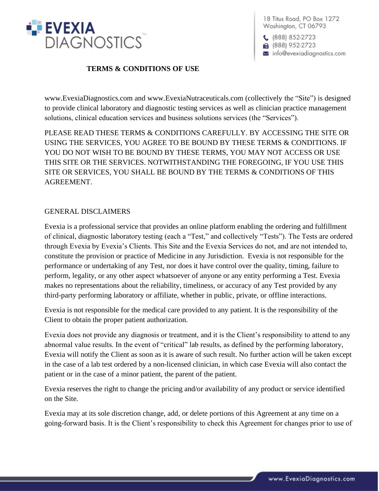

 $C$  (888) 852-2723 ■ (888) 952-2723 info@evexiadiagnostics.com

## **TERMS & CONDITIONS OF USE**

www.EvexiaDiagnostics.com and www.EvexiaNutraceuticals.com (collectively the "Site") is designed to provide clinical laboratory and diagnostic testing services as well as clinician practice management solutions, clinical education services and business solutions services (the "Services").

PLEASE READ THESE TERMS & CONDITIONS CAREFULLY. BY ACCESSING THE SITE OR USING THE SERVICES, YOU AGREE TO BE BOUND BY THESE TERMS & CONDITIONS. IF YOU DO NOT WISH TO BE BOUND BY THESE TERMS, YOU MAY NOT ACCESS OR USE THIS SITE OR THE SERVICES. NOTWITHSTANDING THE FOREGOING, IF YOU USE THIS SITE OR SERVICES, YOU SHALL BE BOUND BY THE TERMS & CONDITIONS OF THIS AGREEMENT.

## GENERAL DISCLAIMERS

Evexia is a professional service that provides an online platform enabling the ordering and fulfillment of clinical, diagnostic laboratory testing (each a "Test," and collectively "Tests"). The Tests are ordered through Evexia by Evexia's Clients. This Site and the Evexia Services do not, and are not intended to, constitute the provision or practice of Medicine in any Jurisdiction. Evexia is not responsible for the performance or undertaking of any Test, nor does it have control over the quality, timing, failure to perform, legality, or any other aspect whatsoever of anyone or any entity performing a Test. Evexia makes no representations about the reliability, timeliness, or accuracy of any Test provided by any third-party performing laboratory or affiliate, whether in public, private, or offline interactions.

Evexia is not responsible for the medical care provided to any patient. It is the responsibility of the Client to obtain the proper patient authorization.

Evexia does not provide any diagnosis or treatment, and it is the Client's responsibility to attend to any abnormal value results. In the event of "critical" lab results, as defined by the performing laboratory, Evexia will notify the Client as soon as it is aware of such result. No further action will be taken except in the case of a lab test ordered by a non-licensed clinician, in which case Evexia will also contact the patient or in the case of a minor patient, the parent of the patient.

Evexia reserves the right to change the pricing and/or availability of any product or service identified on the Site.

Evexia may at its sole discretion change, add, or delete portions of this Agreement at any time on a going-forward basis. It is the Client's responsibility to check this Agreement for changes prior to use of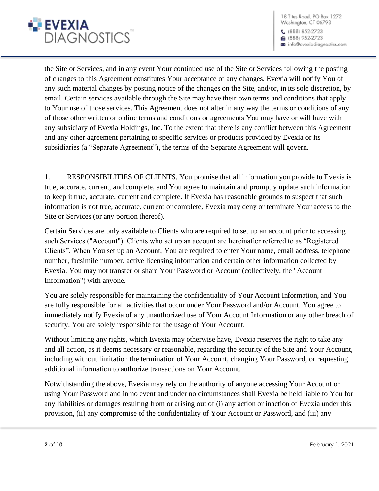

 $(888) 852-2723$ ■ (888) 952-2723 info@evexiadiagnostics.com

the Site or Services, and in any event Your continued use of the Site or Services following the posting of changes to this Agreement constitutes Your acceptance of any changes. Evexia will notify You of any such material changes by posting notice of the changes on the Site, and/or, in its sole discretion, by email. Certain services available through the Site may have their own terms and conditions that apply to Your use of those services. This Agreement does not alter in any way the terms or conditions of any of those other written or online terms and conditions or agreements You may have or will have with any subsidiary of Evexia Holdings, Inc. To the extent that there is any conflict between this Agreement and any other agreement pertaining to specific services or products provided by Evexia or its subsidiaries (a "Separate Agreement"), the terms of the Separate Agreement will govern.

1. RESPONSIBILITIES OF CLIENTS. You promise that all information you provide to Evexia is true, accurate, current, and complete, and You agree to maintain and promptly update such information to keep it true, accurate, current and complete. If Evexia has reasonable grounds to suspect that such information is not true, accurate, current or complete, Evexia may deny or terminate Your access to the Site or Services (or any portion thereof).

Certain Services are only available to Clients who are required to set up an account prior to accessing such Services ("Account"). Clients who set up an account are hereinafter referred to as "Registered Clients". When You set up an Account, You are required to enter Your name, email address, telephone number, facsimile number, active licensing information and certain other information collected by Evexia. You may not transfer or share Your Password or Account (collectively, the "Account Information") with anyone.

You are solely responsible for maintaining the confidentiality of Your Account Information, and You are fully responsible for all activities that occur under Your Password and/or Account. You agree to immediately notify Evexia of any unauthorized use of Your Account Information or any other breach of security. You are solely responsible for the usage of Your Account.

Without limiting any rights, which Evexia may otherwise have, Evexia reserves the right to take any and all action, as it deems necessary or reasonable, regarding the security of the Site and Your Account, including without limitation the termination of Your Account, changing Your Password, or requesting additional information to authorize transactions on Your Account.

Notwithstanding the above, Evexia may rely on the authority of anyone accessing Your Account or using Your Password and in no event and under no circumstances shall Evexia be held liable to You for any liabilities or damages resulting from or arising out of (i) any action or inaction of Evexia under this provision, (ii) any compromise of the confidentiality of Your Account or Password, and (iii) any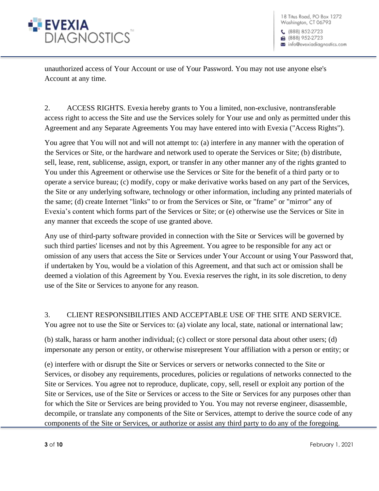

unauthorized access of Your Account or use of Your Password. You may not use anyone else's Account at any time.

2. ACCESS RIGHTS. Evexia hereby grants to You a limited, non-exclusive, nontransferable access right to access the Site and use the Services solely for Your use and only as permitted under this Agreement and any Separate Agreements You may have entered into with Evexia ("Access Rights").

You agree that You will not and will not attempt to: (a) interfere in any manner with the operation of the Services or Site, or the hardware and network used to operate the Services or Site; (b) distribute, sell, lease, rent, sublicense, assign, export, or transfer in any other manner any of the rights granted to You under this Agreement or otherwise use the Services or Site for the benefit of a third party or to operate a service bureau; (c) modify, copy or make derivative works based on any part of the Services, the Site or any underlying software, technology or other information, including any printed materials of the same; (d) create Internet "links" to or from the Services or Site, or "frame" or "mirror" any of Evexia's content which forms part of the Services or Site; or (e) otherwise use the Services or Site in any manner that exceeds the scope of use granted above.

Any use of third-party software provided in connection with the Site or Services will be governed by such third parties' licenses and not by this Agreement. You agree to be responsible for any act or omission of any users that access the Site or Services under Your Account or using Your Password that, if undertaken by You, would be a violation of this Agreement, and that such act or omission shall be deemed a violation of this Agreement by You. Evexia reserves the right, in its sole discretion, to deny use of the Site or Services to anyone for any reason.

3. CLIENT RESPONSIBILITIES AND ACCEPTABLE USE OF THE SITE AND SERVICE. You agree not to use the Site or Services to: (a) violate any local, state, national or international law;

(b) stalk, harass or harm another individual; (c) collect or store personal data about other users; (d) impersonate any person or entity, or otherwise misrepresent Your affiliation with a person or entity; or

(e) interfere with or disrupt the Site or Services or servers or networks connected to the Site or Services, or disobey any requirements, procedures, policies or regulations of networks connected to the Site or Services. You agree not to reproduce, duplicate, copy, sell, resell or exploit any portion of the Site or Services, use of the Site or Services or access to the Site or Services for any purposes other than for which the Site or Services are being provided to You. You may not reverse engineer, disassemble, decompile, or translate any components of the Site or Services, attempt to derive the source code of any components of the Site or Services, or authorize or assist any third party to do any of the foregoing.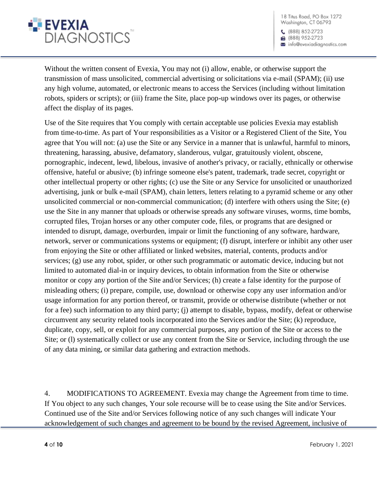

 $(888) 852-2723$ ■ (888) 952-2723 a info@evexiadiagnostics.com

Without the written consent of Evexia, You may not (i) allow, enable, or otherwise support the transmission of mass unsolicited, commercial advertising or solicitations via e-mail (SPAM); (ii) use any high volume, automated, or electronic means to access the Services (including without limitation robots, spiders or scripts); or (iii) frame the Site, place pop-up windows over its pages, or otherwise affect the display of its pages.

Use of the Site requires that You comply with certain acceptable use policies Evexia may establish from time-to-time. As part of Your responsibilities as a Visitor or a Registered Client of the Site, You agree that You will not: (a) use the Site or any Service in a manner that is unlawful, harmful to minors, threatening, harassing, abusive, defamatory, slanderous, vulgar, gratuitously violent, obscene, pornographic, indecent, lewd, libelous, invasive of another's privacy, or racially, ethnically or otherwise offensive, hateful or abusive; (b) infringe someone else's patent, trademark, trade secret, copyright or other intellectual property or other rights; (c) use the Site or any Service for unsolicited or unauthorized advertising, junk or bulk e-mail (SPAM), chain letters, letters relating to a pyramid scheme or any other unsolicited commercial or non-commercial communication; (d) interfere with others using the Site; (e) use the Site in any manner that uploads or otherwise spreads any software viruses, worms, time bombs, corrupted files, Trojan horses or any other computer code, files, or programs that are designed or intended to disrupt, damage, overburden, impair or limit the functioning of any software, hardware, network, server or communications systems or equipment; (f) disrupt, interfere or inhibit any other user from enjoying the Site or other affiliated or linked websites, material, contents, products and/or services; (g) use any robot, spider, or other such programmatic or automatic device, inducing but not limited to automated dial-in or inquiry devices, to obtain information from the Site or otherwise monitor or copy any portion of the Site and/or Services; (h) create a false identity for the purpose of misleading others; (i) prepare, compile, use, download or otherwise copy any user information and/or usage information for any portion thereof, or transmit, provide or otherwise distribute (whether or not for a fee) such information to any third party; (j) attempt to disable, bypass, modify, defeat or otherwise circumvent any security related tools incorporated into the Services and/or the Site; (k) reproduce, duplicate, copy, sell, or exploit for any commercial purposes, any portion of the Site or access to the Site; or (l) systematically collect or use any content from the Site or Service, including through the use of any data mining, or similar data gathering and extraction methods.

4. MODIFICATIONS TO AGREEMENT. Evexia may change the Agreement from time to time. If You object to any such changes, Your sole recourse will be to cease using the Site and/or Services. Continued use of the Site and/or Services following notice of any such changes will indicate Your acknowledgement of such changes and agreement to be bound by the revised Agreement, inclusive of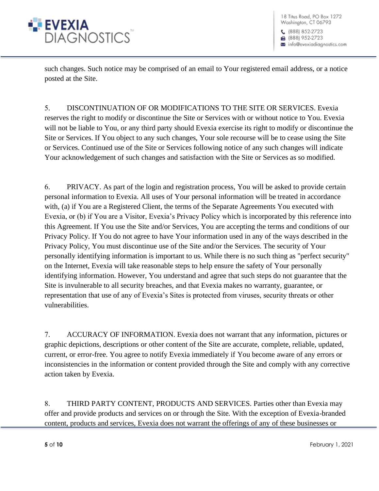

such changes. Such notice may be comprised of an email to Your registered email address, or a notice posted at the Site.

5. DISCONTINUATION OF OR MODIFICATIONS TO THE SITE OR SERVICES. Evexia reserves the right to modify or discontinue the Site or Services with or without notice to You. Evexia will not be liable to You, or any third party should Evexia exercise its right to modify or discontinue the Site or Services. If You object to any such changes, Your sole recourse will be to cease using the Site or Services. Continued use of the Site or Services following notice of any such changes will indicate Your acknowledgement of such changes and satisfaction with the Site or Services as so modified.

6. PRIVACY. As part of the login and registration process, You will be asked to provide certain personal information to Evexia. All uses of Your personal information will be treated in accordance with, (a) if You are a Registered Client, the terms of the Separate Agreements You executed with Evexia, or (b) if You are a Visitor, Evexia's Privacy Policy which is incorporated by this reference into this Agreement. If You use the Site and/or Services, You are accepting the terms and conditions of our Privacy Policy. If You do not agree to have Your information used in any of the ways described in the Privacy Policy, You must discontinue use of the Site and/or the Services. The security of Your personally identifying information is important to us. While there is no such thing as "perfect security" on the Internet, Evexia will take reasonable steps to help ensure the safety of Your personally identifying information. However, You understand and agree that such steps do not guarantee that the Site is invulnerable to all security breaches, and that Evexia makes no warranty, guarantee, or representation that use of any of Evexia's Sites is protected from viruses, security threats or other vulnerabilities.

7. ACCURACY OF INFORMATION. Evexia does not warrant that any information, pictures or graphic depictions, descriptions or other content of the Site are accurate, complete, reliable, updated, current, or error-free. You agree to notify Evexia immediately if You become aware of any errors or inconsistencies in the information or content provided through the Site and comply with any corrective action taken by Evexia.

8. THIRD PARTY CONTENT, PRODUCTS AND SERVICES. Parties other than Evexia may offer and provide products and services on or through the Site. With the exception of Evexia-branded content, products and services, Evexia does not warrant the offerings of any of these businesses or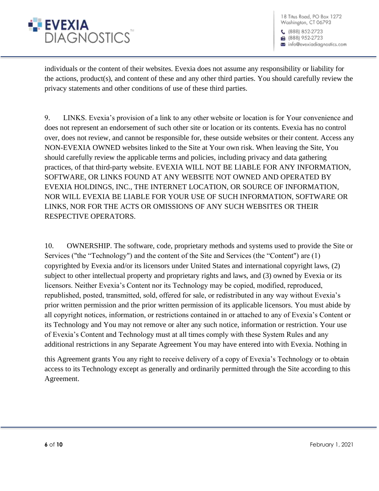

18 Titus Road, PO Box 1272 Washington, CT 06793  $(888) 852-2723$ ■ (888) 952-2723

info@evexiadiagnostics.com

individuals or the content of their websites. Evexia does not assume any responsibility or liability for the actions, product(s), and content of these and any other third parties. You should carefully review the privacy statements and other conditions of use of these third parties.

9. LINKS. Evexia's provision of a link to any other website or location is for Your convenience and does not represent an endorsement of such other site or location or its contents. Evexia has no control over, does not review, and cannot be responsible for, these outside websites or their content. Access any NON-EVEXIA OWNED websites linked to the Site at Your own risk. When leaving the Site, You should carefully review the applicable terms and policies, including privacy and data gathering practices, of that third-party website. EVEXIA WILL NOT BE LIABLE FOR ANY INFORMATION, SOFTWARE, OR LINKS FOUND AT ANY WEBSITE NOT OWNED AND OPERATED BY EVEXIA HOLDINGS, INC., THE INTERNET LOCATION, OR SOURCE OF INFORMATION, NOR WILL EVEXIA BE LIABLE FOR YOUR USE OF SUCH INFORMATION, SOFTWARE OR LINKS, NOR FOR THE ACTS OR OMISSIONS OF ANY SUCH WEBSITES OR THEIR RESPECTIVE OPERATORS.

10. OWNERSHIP. The software, code, proprietary methods and systems used to provide the Site or Services ("the "Technology") and the content of the Site and Services (the "Content") are (1) copyrighted by Evexia and/or its licensors under United States and international copyright laws, (2) subject to other intellectual property and proprietary rights and laws, and (3) owned by Evexia or its licensors. Neither Evexia's Content nor its Technology may be copied, modified, reproduced, republished, posted, transmitted, sold, offered for sale, or redistributed in any way without Evexia's prior written permission and the prior written permission of its applicable licensors. You must abide by all copyright notices, information, or restrictions contained in or attached to any of Evexia's Content or its Technology and You may not remove or alter any such notice, information or restriction. Your use of Evexia's Content and Technology must at all times comply with these System Rules and any additional restrictions in any Separate Agreement You may have entered into with Evexia. Nothing in

this Agreement grants You any right to receive delivery of a copy of Evexia's Technology or to obtain access to its Technology except as generally and ordinarily permitted through the Site according to this Agreement.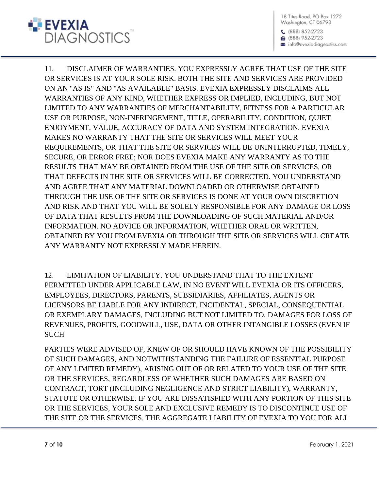

11. DISCLAIMER OF WARRANTIES. YOU EXPRESSLY AGREE THAT USE OF THE SITE OR SERVICES IS AT YOUR SOLE RISK. BOTH THE SITE AND SERVICES ARE PROVIDED ON AN "AS IS" AND "AS AVAILABLE" BASIS. EVEXIA EXPRESSLY DISCLAIMS ALL WARRANTIES OF ANY KIND, WHETHER EXPRESS OR IMPLIED, INCLUDING, BUT NOT LIMITED TO ANY WARRANTIES OF MERCHANTABILITY, FITNESS FOR A PARTICULAR USE OR PURPOSE, NON-INFRINGEMENT, TITLE, OPERABILITY, CONDITION, QUIET ENJOYMENT, VALUE, ACCURACY OF DATA AND SYSTEM INTEGRATION. EVEXIA MAKES NO WARRANTY THAT THE SITE OR SERVICES WILL MEET YOUR REQUIREMENTS, OR THAT THE SITE OR SERVICES WILL BE UNINTERRUPTED, TIMELY, SECURE, OR ERROR FREE; NOR DOES EVEXIA MAKE ANY WARRANTY AS TO THE RESULTS THAT MAY BE OBTAINED FROM THE USE OF THE SITE OR SERVICES, OR THAT DEFECTS IN THE SITE OR SERVICES WILL BE CORRECTED. YOU UNDERSTAND AND AGREE THAT ANY MATERIAL DOWNLOADED OR OTHERWISE OBTAINED THROUGH THE USE OF THE SITE OR SERVICES IS DONE AT YOUR OWN DISCRETION AND RISK AND THAT YOU WILL BE SOLELY RESPONSIBLE FOR ANY DAMAGE OR LOSS OF DATA THAT RESULTS FROM THE DOWNLOADING OF SUCH MATERIAL AND/OR INFORMATION. NO ADVICE OR INFORMATION, WHETHER ORAL OR WRITTEN, OBTAINED BY YOU FROM EVEXIA OR THROUGH THE SITE OR SERVICES WILL CREATE ANY WARRANTY NOT EXPRESSLY MADE HEREIN.

12. LIMITATION OF LIABILITY. YOU UNDERSTAND THAT TO THE EXTENT PERMITTED UNDER APPLICABLE LAW, IN NO EVENT WILL EVEXIA OR ITS OFFICERS, EMPLOYEES, DIRECTORS, PARENTS, SUBSIDIARIES, AFFILIATES, AGENTS OR LICENSORS BE LIABLE FOR ANY INDIRECT, INCIDENTAL, SPECIAL, CONSEQUENTIAL OR EXEMPLARY DAMAGES, INCLUDING BUT NOT LIMITED TO, DAMAGES FOR LOSS OF REVENUES, PROFITS, GOODWILL, USE, DATA OR OTHER INTANGIBLE LOSSES (EVEN IF SUCH

PARTIES WERE ADVISED OF, KNEW OF OR SHOULD HAVE KNOWN OF THE POSSIBILITY OF SUCH DAMAGES, AND NOTWITHSTANDING THE FAILURE OF ESSENTIAL PURPOSE OF ANY LIMITED REMEDY), ARISING OUT OF OR RELATED TO YOUR USE OF THE SITE OR THE SERVICES, REGARDLESS OF WHETHER SUCH DAMAGES ARE BASED ON CONTRACT, TORT (INCLUDING NEGLIGENCE AND STRICT LIABILITY), WARRANTY, STATUTE OR OTHERWISE. IF YOU ARE DISSATISFIED WITH ANY PORTION OF THIS SITE OR THE SERVICES, YOUR SOLE AND EXCLUSIVE REMEDY IS TO DISCONTINUE USE OF THE SITE OR THE SERVICES. THE AGGREGATE LIABILITY OF EVEXIA TO YOU FOR ALL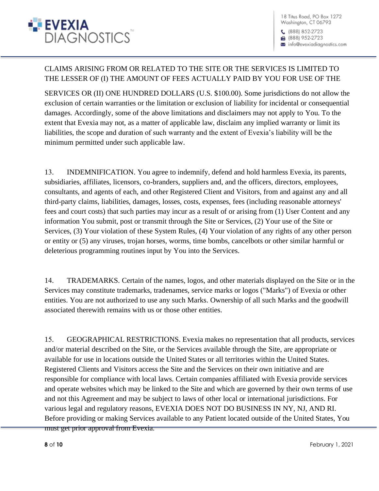

a info@evexiadiagnostics.com

## CLAIMS ARISING FROM OR RELATED TO THE SITE OR THE SERVICES IS LIMITED TO THE LESSER OF (I) THE AMOUNT OF FEES ACTUALLY PAID BY YOU FOR USE OF THE

SERVICES OR (II) ONE HUNDRED DOLLARS (U.S. \$100.00). Some jurisdictions do not allow the exclusion of certain warranties or the limitation or exclusion of liability for incidental or consequential damages. Accordingly, some of the above limitations and disclaimers may not apply to You. To the extent that Evexia may not, as a matter of applicable law, disclaim any implied warranty or limit its liabilities, the scope and duration of such warranty and the extent of Evexia's liability will be the minimum permitted under such applicable law.

13. INDEMNIFICATION. You agree to indemnify, defend and hold harmless Evexia, its parents, subsidiaries, affiliates, licensors, co-branders, suppliers and, and the officers, directors, employees, consultants, and agents of each, and other Registered Client and Visitors, from and against any and all third-party claims, liabilities, damages, losses, costs, expenses, fees (including reasonable attorneys' fees and court costs) that such parties may incur as a result of or arising from (1) User Content and any information You submit, post or transmit through the Site or Services, (2) Your use of the Site or Services, (3) Your violation of these System Rules, (4) Your violation of any rights of any other person or entity or (5) any viruses, trojan horses, worms, time bombs, cancelbots or other similar harmful or deleterious programming routines input by You into the Services.

14. TRADEMARKS. Certain of the names, logos, and other materials displayed on the Site or in the Services may constitute trademarks, tradenames, service marks or logos ("Marks") of Evexia or other entities. You are not authorized to use any such Marks. Ownership of all such Marks and the goodwill associated therewith remains with us or those other entities.

15. GEOGRAPHICAL RESTRICTIONS. Evexia makes no representation that all products, services and/or material described on the Site, or the Services available through the Site, are appropriate or available for use in locations outside the United States or all territories within the United States. Registered Clients and Visitors access the Site and the Services on their own initiative and are responsible for compliance with local laws. Certain companies affiliated with Evexia provide services and operate websites which may be linked to the Site and which are governed by their own terms of use and not this Agreement and may be subject to laws of other local or international jurisdictions. For various legal and regulatory reasons, EVEXIA DOES NOT DO BUSINESS IN NY, NJ, AND RI. Before providing or making Services available to any Patient located outside of the United States, You must get prior approval from Evexia.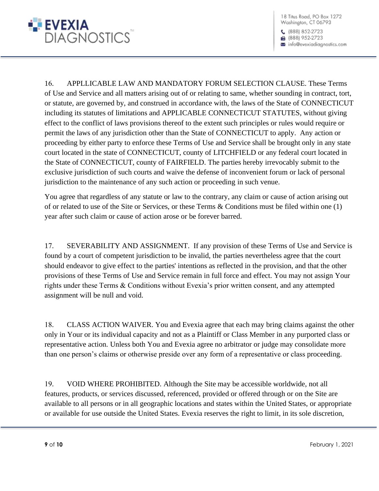

 $(888) 852-2723$ ■ (888) 952-2723 info@evexiadiagnostics.com

16. APPLLICABLE LAW AND MANDATORY FORUM SELECTION CLAUSE. These Terms of Use and Service and all matters arising out of or relating to same, whether sounding in contract, tort, or statute, are governed by, and construed in accordance with, the laws of the State of CONNECTICUT including its statutes of limitations and APPLICABLE CONNECTICUT STATUTES, without giving effect to the conflict of laws provisions thereof to the extent such principles or rules would require or permit the laws of any jurisdiction other than the State of CONNECTICUT to apply. Any action or proceeding by either party to enforce these Terms of Use and Service shall be brought only in any state court located in the state of CONNECTICUT, county of LITCHFIELD or any federal court located in the State of CONNECTICUT, county of FAIRFIELD. The parties hereby irrevocably submit to the exclusive jurisdiction of such courts and waive the defense of inconvenient forum or lack of personal jurisdiction to the maintenance of any such action or proceeding in such venue.

You agree that regardless of any statute or law to the contrary, any claim or cause of action arising out of or related to use of the Site or Services, or these Terms & Conditions must be filed within one (1) year after such claim or cause of action arose or be forever barred.

17. SEVERABILITY AND ASSIGNMENT. If any provision of these Terms of Use and Service is found by a court of competent jurisdiction to be invalid, the parties nevertheless agree that the court should endeavor to give effect to the parties' intentions as reflected in the provision, and that the other provisions of these Terms of Use and Service remain in full force and effect. You may not assign Your rights under these Terms & Conditions without Evexia's prior written consent, and any attempted assignment will be null and void.

18. CLASS ACTION WAIVER. You and Evexia agree that each may bring claims against the other only in Your or its individual capacity and not as a Plaintiff or Class Member in any purported class or representative action. Unless both You and Evexia agree no arbitrator or judge may consolidate more than one person's claims or otherwise preside over any form of a representative or class proceeding.

19. VOID WHERE PROHIBITED. Although the Site may be accessible worldwide, not all features, products, or services discussed, referenced, provided or offered through or on the Site are available to all persons or in all geographic locations and states within the United States, or appropriate or available for use outside the United States. Evexia reserves the right to limit, in its sole discretion,